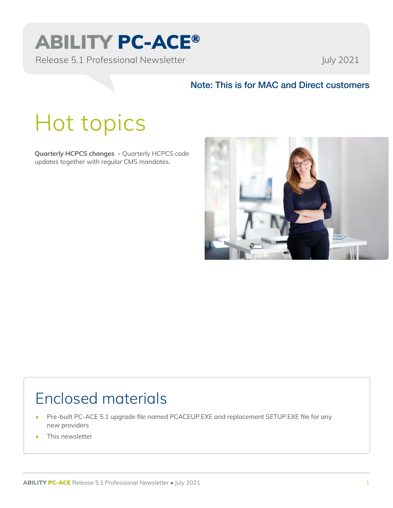# ABILITY PC-ACE®

Release 5.1 Professional Newsletter July 2021

### Note: This is for MAC and Direct customers

# Hot topics

**Quarterly HCPCS changes -** Quarterly HCPCS code updates together with regular CMS mandates.



### Enclosed materials

- Pre-built PC-ACE 5.1 upgrade file named PCACEUP.EXE and replacement SETUP.EXE file for any new providers
- This newsletter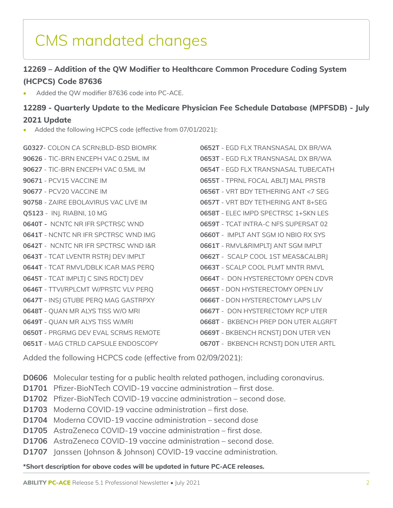## CMS mandated changes

#### **12269 – Addition of the QW Modifier to Healthcare Common Procedure Coding System (HCPCS) Code 87636**

• Added the QW modifier 87636 code into PC-ACE.

### **12289 - Quarterly Update to the Medicare Physician Fee Schedule Database (MPFSDB) - July 2021 Update**

Added the following HCPCS code (effective from 07/01/2021):

**G0327**- COLON CA SCRN;BLD-BSD BIOMRK **90626** - TIC-BRN ENCEPH VAC 0.25ML IM **90627** - TIC-BRN ENCEPH VAC 0.5ML IM **90671** - PCV15 VACCINE IM **90677** - PCV20 VACCINE IM **90758** - ZAIRE EBOLAVIRUS VAC LIVE IM **Q5123** - INJ. RIABNI, 10 MG **0640T -** NCNTC NR IFR SPCTRSC WND **0641T** - NCNTC NR IFR SPCTRSC WND IMG **0642T** - NCNTC NR IFR SPCTRSC WND I&R **0643T** - TCAT LVENTR RSTRJ DEV IMPLT **0644T** - TCAT RMVL/DBLK ICAR MAS PERQ **0645T** - TCAT IMPLTJ C SINS RDCTJ DEV **0646T** - TTVI/RPLCMT W/PRSTC VLV PERQ **0647T** - INSJ GTUBE PERQ MAG GASTRPXY **0648T** - QUAN MR ALYS TISS W/O MRI **0649T** - QUAN MR ALYS TISS W/MRI **0650T** - PRGRMG DEV EVAL SCRMS REMOTE **0651T** - MAG CTRLD CAPSULE ENDOSCOPY

**0652T** - EGD FLX TRANSNASAL DX BR/WA **0653T** - EGD FLX TRANSNASAL DX BR/WA **0654T** - EGD FLX TRANSNASAL TUBE/CATH **0655T** - TPRNL FOCAL ABLTJ MAL PRST8 **0656T** - VRT BDY TETHERING ANT <7 SEG **0657T** - VRT BDY TETHERING ANT 8+SEG **0658T** - ELEC IMPD SPECTRSC 1+SKN LES **0659T** - TCAT INTRA-C NFS SUPERSAT 02 **0660T** - IMPLT ANT SGM IO NBIO RX SYS **0661T** - RMVL&RIMPLTJ ANT SGM IMPLT **0662T** - SCALP COOL 1ST MEAS&CALBRJ **0663T** - SCALP COOL PLMT MNTR RMVL **0664T** - DON HYSTERECTOMY OPEN CDVR **0665T** - DON HYSTERECTOMY OPEN LIV **0666T** - DON HYSTERECTOMY LAPS LIV **0667T** - DON HYSTERECTOMY RCP UTER **0668T** - BKBENCH PREP DON UTER ALGRFT **0669T** - BKBENCH RCNSTJ DON UTER VEN **0670T** - BKBENCH RCNSTJ DON UTER ARTL

Added the following HCPCS code (effective from 02/09/2021):

**D0606** Molecular testing for a public health related pathogen, including coronavirus.

- **D1701** Pfizer-BioNTech COVID-19 vaccine administration first dose.
- **D1702** Pfizer-BioNTech COVID-19 vaccine administration second dose.
- **D1703** Moderna COVID-19 vaccine administration first dose.
- **D1704** Moderna COVID-19 vaccine administration second dose
- **D1705** AstraZeneca COVID-19 vaccine administration first dose.
- **D1706** AstraZeneca COVID-19 vaccine administration second dose.
- **D1707** Janssen (Johnson & Johnson) COVID-19 vaccine administration.

**\*Short description for above codes will be updated in future PC-ACE releases.**